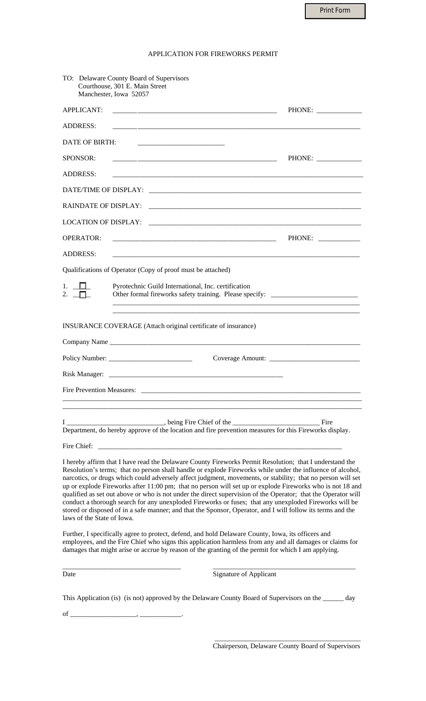Print Form

|  | APPLICATION FOR FIREWORKS PERMIT |
|--|----------------------------------|
|--|----------------------------------|

| TO: Delaware County Board of Supervisors<br>Courthouse, 301 E. Main Street<br>Manchester, Iowa 52057                                                                                                                                                                                                                                                                                                                                                                                                                                                                                                                                                                                                                                                                                                                      |                                                                                  |
|---------------------------------------------------------------------------------------------------------------------------------------------------------------------------------------------------------------------------------------------------------------------------------------------------------------------------------------------------------------------------------------------------------------------------------------------------------------------------------------------------------------------------------------------------------------------------------------------------------------------------------------------------------------------------------------------------------------------------------------------------------------------------------------------------------------------------|----------------------------------------------------------------------------------|
| <b>APPLICANT:</b>                                                                                                                                                                                                                                                                                                                                                                                                                                                                                                                                                                                                                                                                                                                                                                                                         | PHONE:                                                                           |
| <b>ADDRESS:</b>                                                                                                                                                                                                                                                                                                                                                                                                                                                                                                                                                                                                                                                                                                                                                                                                           |                                                                                  |
| DATE OF BIRTH:                                                                                                                                                                                                                                                                                                                                                                                                                                                                                                                                                                                                                                                                                                                                                                                                            |                                                                                  |
| SPONSOR:                                                                                                                                                                                                                                                                                                                                                                                                                                                                                                                                                                                                                                                                                                                                                                                                                  | PHONE:                                                                           |
| ADDRESS:                                                                                                                                                                                                                                                                                                                                                                                                                                                                                                                                                                                                                                                                                                                                                                                                                  |                                                                                  |
|                                                                                                                                                                                                                                                                                                                                                                                                                                                                                                                                                                                                                                                                                                                                                                                                                           |                                                                                  |
| <b>RAINDATE OF DISPLAY:</b>                                                                                                                                                                                                                                                                                                                                                                                                                                                                                                                                                                                                                                                                                                                                                                                               |                                                                                  |
| LOCATION OF DISPLAY: Particular and Contract Contract Contract Contract Contract Contract Contract Contract Co                                                                                                                                                                                                                                                                                                                                                                                                                                                                                                                                                                                                                                                                                                            |                                                                                  |
| OPERATOR:<br><u> 1980 - Jan James James Barnett, fransk politik (d. 1980)</u>                                                                                                                                                                                                                                                                                                                                                                                                                                                                                                                                                                                                                                                                                                                                             | PHONE: _____________                                                             |
| <b>ADDRESS:</b>                                                                                                                                                                                                                                                                                                                                                                                                                                                                                                                                                                                                                                                                                                                                                                                                           |                                                                                  |
| Qualifications of Operator (Copy of proof must be attached)                                                                                                                                                                                                                                                                                                                                                                                                                                                                                                                                                                                                                                                                                                                                                               |                                                                                  |
| 1. $\Box$<br>Pyrotechnic Guild International, Inc. certification<br>2. $\Box$                                                                                                                                                                                                                                                                                                                                                                                                                                                                                                                                                                                                                                                                                                                                             | Other formal fireworks safety training. Please specify: ________________________ |
|                                                                                                                                                                                                                                                                                                                                                                                                                                                                                                                                                                                                                                                                                                                                                                                                                           |                                                                                  |
| INSURANCE COVERAGE (Attach original certificate of insurance)                                                                                                                                                                                                                                                                                                                                                                                                                                                                                                                                                                                                                                                                                                                                                             |                                                                                  |
| Company Name                                                                                                                                                                                                                                                                                                                                                                                                                                                                                                                                                                                                                                                                                                                                                                                                              |                                                                                  |
|                                                                                                                                                                                                                                                                                                                                                                                                                                                                                                                                                                                                                                                                                                                                                                                                                           |                                                                                  |
|                                                                                                                                                                                                                                                                                                                                                                                                                                                                                                                                                                                                                                                                                                                                                                                                                           |                                                                                  |
|                                                                                                                                                                                                                                                                                                                                                                                                                                                                                                                                                                                                                                                                                                                                                                                                                           |                                                                                  |
| Fire Prevention Measures:                                                                                                                                                                                                                                                                                                                                                                                                                                                                                                                                                                                                                                                                                                                                                                                                 |                                                                                  |
|                                                                                                                                                                                                                                                                                                                                                                                                                                                                                                                                                                                                                                                                                                                                                                                                                           |                                                                                  |
| Department, do hereby approve of the location and fire prevention measures for this Fireworks display.                                                                                                                                                                                                                                                                                                                                                                                                                                                                                                                                                                                                                                                                                                                    |                                                                                  |
| Fire Chief:                                                                                                                                                                                                                                                                                                                                                                                                                                                                                                                                                                                                                                                                                                                                                                                                               |                                                                                  |
| I hereby affirm that I have read the Delaware County Fireworks Permit Resolution; that I understand the<br>Resolution's terms; that no person shall handle or explode Fireworks while under the influence of alcohol,<br>narcotics, or drugs which could adversely affect judgment, movements, or stability; that no person will set<br>up or explode Fireworks after 11:00 pm; that no person will set up or explode Fireworks who is not 18 and<br>qualified as set out above or who is not under the direct supervision of the Operator; that the Operator will<br>conduct a thorough search for any unexploded Fireworks or fuses; that any unexploded Fireworks will be<br>stored or disposed of in a safe manner; and that the Sponsor, Operator, and I will follow its terms and the<br>laws of the State of Iowa. |                                                                                  |
| Further, I specifically agree to protect, defend, and hold Delaware County, Iowa, its officers and<br>employees, and the Fire Chief who signs this application harmless from any and all damages or claims for<br>damages that might arise or accrue by reason of the granting of the permit for which I am applying.                                                                                                                                                                                                                                                                                                                                                                                                                                                                                                     |                                                                                  |
| Date                                                                                                                                                                                                                                                                                                                                                                                                                                                                                                                                                                                                                                                                                                                                                                                                                      | <b>Signature of Applicant</b>                                                    |
| This Application (is) (is not) approved by the Delaware County Board of Supervisors on the ________                                                                                                                                                                                                                                                                                                                                                                                                                                                                                                                                                                                                                                                                                                                       | day                                                                              |

 \_\_\_\_\_\_\_\_\_\_\_\_\_\_\_\_\_\_\_\_\_\_\_\_\_\_\_\_\_\_\_\_\_\_\_\_\_\_\_\_\_\_ Chairperson, Delaware County Board of Supervisors